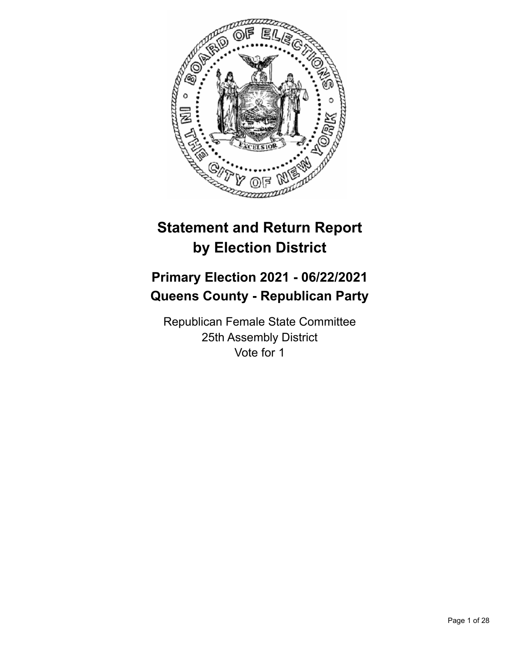

# **Statement and Return Report by Election District**

# **Primary Election 2021 - 06/22/2021 Queens County - Republican Party**

Republican Female State Committee 25th Assembly District Vote for 1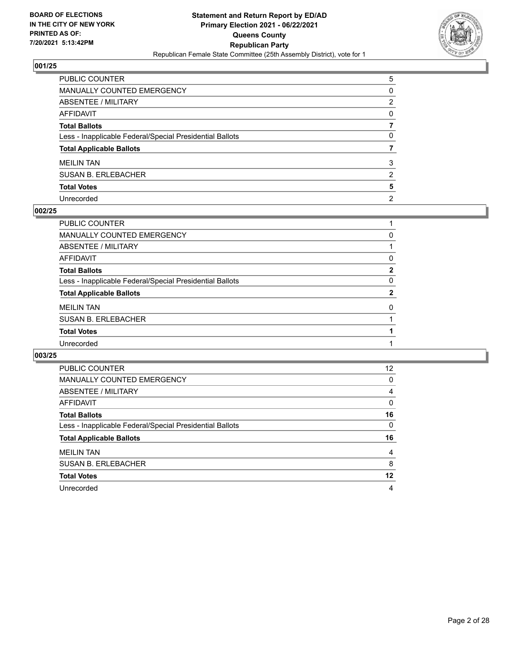

| PUBLIC COUNTER                                           | 5              |
|----------------------------------------------------------|----------------|
| <b>MANUALLY COUNTED EMERGENCY</b>                        | $\Omega$       |
| ABSENTEE / MILITARY                                      | 2              |
| <b>AFFIDAVIT</b>                                         | $\Omega$       |
| <b>Total Ballots</b>                                     |                |
| Less - Inapplicable Federal/Special Presidential Ballots | 0              |
| <b>Total Applicable Ballots</b>                          |                |
| <b>MEILIN TAN</b>                                        | 3              |
| <b>SUSAN B. ERLEBACHER</b>                               | 2              |
| <b>Total Votes</b>                                       | 5              |
| Unrecorded                                               | $\overline{2}$ |

# **002/25**

| PUBLIC COUNTER                                           |              |
|----------------------------------------------------------|--------------|
| <b>MANUALLY COUNTED EMERGENCY</b>                        | 0            |
| ABSENTEE / MILITARY                                      |              |
| AFFIDAVIT                                                | 0            |
| <b>Total Ballots</b>                                     | $\mathbf{2}$ |
| Less - Inapplicable Federal/Special Presidential Ballots | 0            |
| <b>Total Applicable Ballots</b>                          | 2            |
| <b>MEILIN TAN</b>                                        | 0            |
| <b>SUSAN B. ERLEBACHER</b>                               |              |
| <b>Total Votes</b>                                       |              |
| Unrecorded                                               |              |
|                                                          |              |

| PUBLIC COUNTER                                           | 12       |
|----------------------------------------------------------|----------|
| <b>MANUALLY COUNTED EMERGENCY</b>                        | 0        |
| ABSENTEE / MILITARY                                      | 4        |
| <b>AFFIDAVIT</b>                                         | 0        |
| <b>Total Ballots</b>                                     | 16       |
| Less - Inapplicable Federal/Special Presidential Ballots | $\Omega$ |
|                                                          |          |
| <b>Total Applicable Ballots</b>                          | 16       |
| <b>MEILIN TAN</b>                                        | 4        |
| <b>SUSAN B. ERLEBACHER</b>                               | 8        |
| <b>Total Votes</b>                                       | 12       |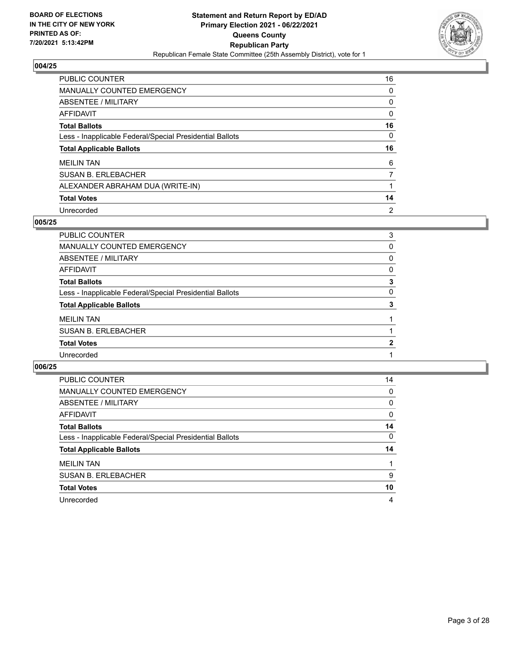

| <b>PUBLIC COUNTER</b>                                    | 16       |
|----------------------------------------------------------|----------|
| <b>MANUALLY COUNTED EMERGENCY</b>                        | 0        |
| <b>ABSENTEE / MILITARY</b>                               | 0        |
| AFFIDAVIT                                                | 0        |
| <b>Total Ballots</b>                                     | 16       |
| Less - Inapplicable Federal/Special Presidential Ballots | $\Omega$ |
| <b>Total Applicable Ballots</b>                          | 16       |
| <b>MEILIN TAN</b>                                        | 6        |
| <b>SUSAN B. ERLEBACHER</b>                               | 7        |
| ALEXANDER ABRAHAM DUA (WRITE-IN)                         |          |
| <b>Total Votes</b>                                       | 14       |
| Unrecorded                                               | 2        |

# **005/25**

| PUBLIC COUNTER                                           | 3        |
|----------------------------------------------------------|----------|
| <b>MANUALLY COUNTED EMERGENCY</b>                        | $\Omega$ |
| ABSENTEE / MILITARY                                      | 0        |
| <b>AFFIDAVIT</b>                                         | 0        |
| <b>Total Ballots</b>                                     | 3        |
| Less - Inapplicable Federal/Special Presidential Ballots | $\Omega$ |
| <b>Total Applicable Ballots</b>                          | 3        |
| <b>MEILIN TAN</b>                                        |          |
| <b>SUSAN B. ERLEBACHER</b>                               |          |
| <b>Total Votes</b>                                       | 2        |
| Unrecorded                                               |          |
|                                                          |          |

| PUBLIC COUNTER                                           | 14       |
|----------------------------------------------------------|----------|
| <b>MANUALLY COUNTED EMERGENCY</b>                        | 0        |
| ABSENTEE / MILITARY                                      | 0        |
| AFFIDAVIT                                                | $\Omega$ |
| <b>Total Ballots</b>                                     | 14       |
| Less - Inapplicable Federal/Special Presidential Ballots | $\Omega$ |
| <b>Total Applicable Ballots</b>                          | 14       |
| <b>MEILIN TAN</b>                                        |          |
| <b>SUSAN B. ERLEBACHER</b>                               | 9        |
| <b>Total Votes</b>                                       | 10       |
| Unrecorded                                               | 4        |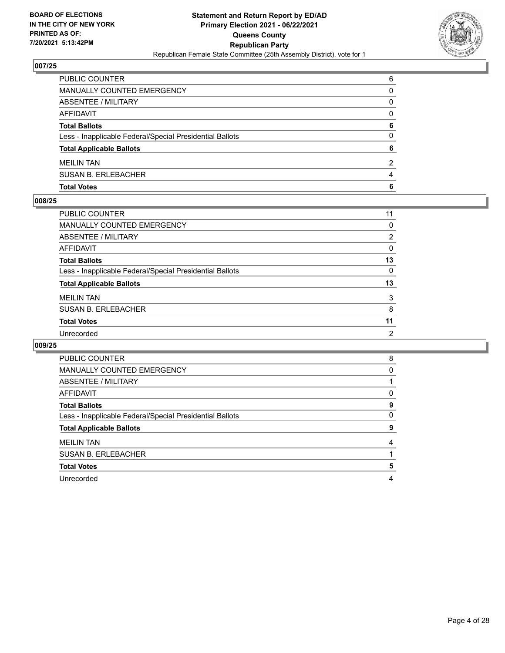

| PUBLIC COUNTER                                           | 6        |
|----------------------------------------------------------|----------|
| MANUALLY COUNTED EMERGENCY                               | $\Omega$ |
| <b>ABSENTEE / MILITARY</b>                               | 0        |
| AFFIDAVIT                                                | 0        |
| <b>Total Ballots</b>                                     | 6        |
| Less - Inapplicable Federal/Special Presidential Ballots | 0        |
| <b>Total Applicable Ballots</b>                          | 6        |
| <b>MEILIN TAN</b>                                        | 2        |
| <b>SUSAN B. ERLEBACHER</b>                               | 4        |
| <b>Total Votes</b>                                       | 6        |

# **008/25**

| <b>PUBLIC COUNTER</b>                                    | 11             |
|----------------------------------------------------------|----------------|
| <b>MANUALLY COUNTED EMERGENCY</b>                        | 0              |
| ABSENTEE / MILITARY                                      | $\overline{2}$ |
| <b>AFFIDAVIT</b>                                         | 0              |
| <b>Total Ballots</b>                                     | 13             |
| Less - Inapplicable Federal/Special Presidential Ballots | $\Omega$       |
| <b>Total Applicable Ballots</b>                          | 13             |
| <b>MEILIN TAN</b>                                        | 3              |
| <b>SUSAN B. ERLEBACHER</b>                               | 8              |
| <b>Total Votes</b>                                       | 11             |
| Unrecorded                                               | $\overline{2}$ |
|                                                          |                |

| <b>PUBLIC COUNTER</b>                                    | 8 |
|----------------------------------------------------------|---|
| <b>MANUALLY COUNTED EMERGENCY</b>                        | 0 |
| ABSENTEE / MILITARY                                      |   |
| AFFIDAVIT                                                | 0 |
| <b>Total Ballots</b>                                     | 9 |
| Less - Inapplicable Federal/Special Presidential Ballots | 0 |
| <b>Total Applicable Ballots</b>                          | 9 |
| <b>MEILIN TAN</b>                                        | 4 |
| <b>SUSAN B. ERLEBACHER</b>                               |   |
| <b>Total Votes</b>                                       | 5 |
| Unrecorded                                               | 4 |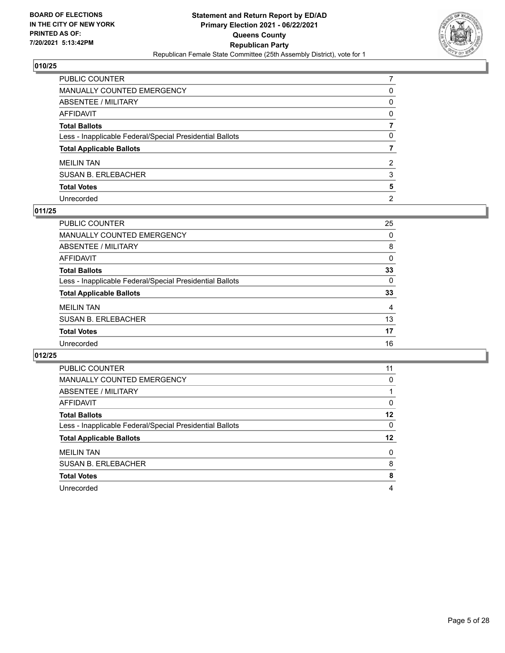

| PUBLIC COUNTER                                           |                |
|----------------------------------------------------------|----------------|
| MANUALLY COUNTED EMERGENCY                               | 0              |
| ABSENTEE / MILITARY                                      | $\mathbf{0}$   |
| AFFIDAVIT                                                | $\Omega$       |
| Total Ballots                                            |                |
| Less - Inapplicable Federal/Special Presidential Ballots | 0              |
| <b>Total Applicable Ballots</b>                          |                |
| <b>MEILIN TAN</b>                                        | 2              |
| SUSAN B. ERLEBACHER                                      | 3              |
| <b>Total Votes</b>                                       | 5              |
| Unrecorded                                               | $\overline{2}$ |

# **011/25**

| PUBLIC COUNTER                                           | 25       |
|----------------------------------------------------------|----------|
| <b>MANUALLY COUNTED EMERGENCY</b>                        | 0        |
| ABSENTEE / MILITARY                                      | 8        |
| AFFIDAVIT                                                | 0        |
| <b>Total Ballots</b>                                     | 33       |
| Less - Inapplicable Federal/Special Presidential Ballots | $\Omega$ |
| <b>Total Applicable Ballots</b>                          | 33       |
| <b>MEILIN TAN</b>                                        | 4        |
| <b>SUSAN B. ERLEBACHER</b>                               | 13       |
| <b>Total Votes</b>                                       | 17       |
| Unrecorded                                               | 16       |

| <b>PUBLIC COUNTER</b>                                    | 11       |
|----------------------------------------------------------|----------|
| <b>MANUALLY COUNTED EMERGENCY</b>                        | 0        |
| ABSENTEE / MILITARY                                      |          |
| AFFIDAVIT                                                | $\Omega$ |
| <b>Total Ballots</b>                                     | 12       |
| Less - Inapplicable Federal/Special Presidential Ballots | 0        |
| <b>Total Applicable Ballots</b>                          | 12       |
| <b>MEILIN TAN</b>                                        | $\Omega$ |
| <b>SUSAN B. ERLEBACHER</b>                               | 8        |
|                                                          |          |
| <b>Total Votes</b>                                       | 8        |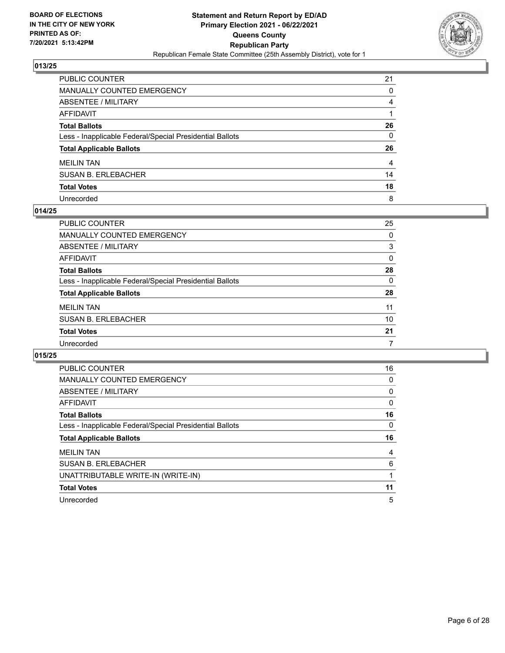

| PUBLIC COUNTER                                           | 21             |
|----------------------------------------------------------|----------------|
| <b>MANUALLY COUNTED EMERGENCY</b>                        | $\mathbf{0}$   |
| ABSENTEE / MILITARY                                      | 4              |
| AFFIDAVIT                                                |                |
| <b>Total Ballots</b>                                     | 26             |
| Less - Inapplicable Federal/Special Presidential Ballots | $\mathbf{0}$   |
| <b>Total Applicable Ballots</b>                          | 26             |
| <b>MEILIN TAN</b>                                        | $\overline{4}$ |
| <b>SUSAN B. ERLEBACHER</b>                               | 14             |
| <b>Total Votes</b>                                       | 18             |
| Unrecorded                                               | 8              |

# **014/25**

| <b>PUBLIC COUNTER</b>                                    | 25 |
|----------------------------------------------------------|----|
| <b>MANUALLY COUNTED EMERGENCY</b>                        | 0  |
| <b>ABSENTEE / MILITARY</b>                               | 3  |
| AFFIDAVIT                                                | 0  |
| <b>Total Ballots</b>                                     | 28 |
| Less - Inapplicable Federal/Special Presidential Ballots | 0  |
| <b>Total Applicable Ballots</b>                          | 28 |
| <b>MEILIN TAN</b>                                        | 11 |
| <b>SUSAN B. ERLEBACHER</b>                               | 10 |
| <b>Total Votes</b>                                       | 21 |
| Unrecorded                                               |    |

| <b>PUBLIC COUNTER</b>                                    | 16 |
|----------------------------------------------------------|----|
| <b>MANUALLY COUNTED EMERGENCY</b>                        | 0  |
| ABSENTEE / MILITARY                                      | 0  |
| AFFIDAVIT                                                | 0  |
| <b>Total Ballots</b>                                     | 16 |
| Less - Inapplicable Federal/Special Presidential Ballots | 0  |
|                                                          |    |
| <b>Total Applicable Ballots</b>                          | 16 |
| <b>MEILIN TAN</b>                                        | 4  |
| <b>SUSAN B. ERLEBACHER</b>                               | 6  |
| UNATTRIBUTABLE WRITE-IN (WRITE-IN)                       |    |
| <b>Total Votes</b>                                       | 11 |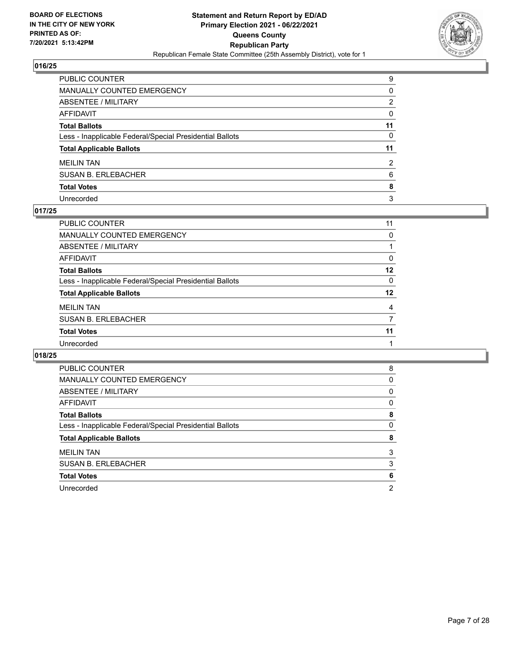

| PUBLIC COUNTER                                           | 9        |
|----------------------------------------------------------|----------|
| MANUALLY COUNTED EMERGENCY                               | 0        |
| ABSENTEE / MILITARY                                      | 2        |
| <b>AFFIDAVIT</b>                                         | $\Omega$ |
| <b>Total Ballots</b>                                     | 11       |
| Less - Inapplicable Federal/Special Presidential Ballots | 0        |
| <b>Total Applicable Ballots</b>                          | 11       |
| MEILIN TAN                                               | 2        |
| <b>SUSAN B. ERLEBACHER</b>                               | 6        |
| <b>Total Votes</b>                                       | 8        |
| Unrecorded                                               | 3        |

# **017/25**

| PUBLIC COUNTER                                           | 11 |
|----------------------------------------------------------|----|
| <b>MANUALLY COUNTED EMERGENCY</b>                        | 0  |
| ABSENTEE / MILITARY                                      |    |
| AFFIDAVIT                                                | 0  |
| <b>Total Ballots</b>                                     | 12 |
| Less - Inapplicable Federal/Special Presidential Ballots | 0  |
| <b>Total Applicable Ballots</b>                          | 12 |
| <b>MEILIN TAN</b>                                        | 4  |
| <b>SUSAN B. ERLEBACHER</b>                               | 7  |
| <b>Total Votes</b>                                       | 11 |
| Unrecorded                                               |    |

| PUBLIC COUNTER                                           | 8 |
|----------------------------------------------------------|---|
| <b>MANUALLY COUNTED EMERGENCY</b>                        | 0 |
| ABSENTEE / MILITARY                                      | 0 |
| AFFIDAVIT                                                | 0 |
| <b>Total Ballots</b>                                     | 8 |
| Less - Inapplicable Federal/Special Presidential Ballots | 0 |
| <b>Total Applicable Ballots</b>                          | 8 |
| <b>MEILIN TAN</b>                                        | 3 |
| <b>SUSAN B. ERLEBACHER</b>                               | 3 |
| <b>Total Votes</b>                                       | 6 |
| Unrecorded                                               | 2 |
|                                                          |   |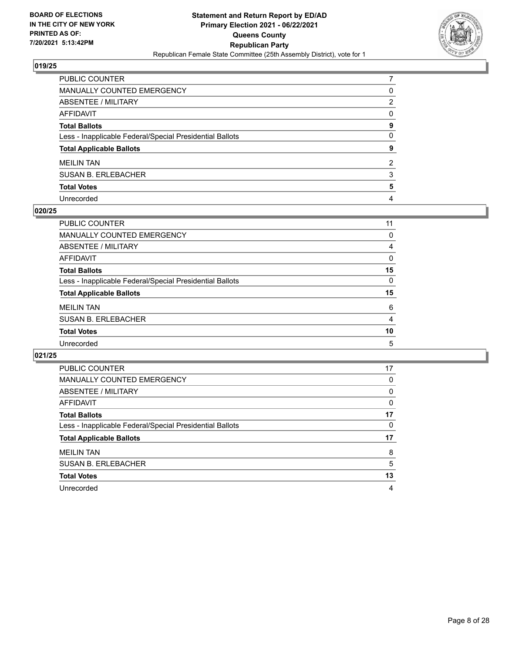

| PUBLIC COUNTER                                           |              |
|----------------------------------------------------------|--------------|
| MANUALLY COUNTED EMERGENCY                               | 0            |
| ABSENTEE / MILITARY                                      | 2            |
| AFFIDAVIT                                                | $\Omega$     |
| Total Ballots                                            | 9            |
| Less - Inapplicable Federal/Special Presidential Ballots | $\mathbf{0}$ |
| <b>Total Applicable Ballots</b>                          | 9            |
| <b>MEILIN TAN</b>                                        | 2            |
| SUSAN B. ERLEBACHER                                      | 3            |
| <b>Total Votes</b>                                       | 5            |
| Unrecorded                                               | 4            |

## **020/25**

| 11       |
|----------|
| 0        |
| 4        |
| $\Omega$ |
| 15       |
| $\Omega$ |
| 15       |
| 6        |
| 4        |
| 10       |
| 5        |
|          |

| <b>PUBLIC COUNTER</b>                                    | 17       |
|----------------------------------------------------------|----------|
| <b>MANUALLY COUNTED EMERGENCY</b>                        | 0        |
| ABSENTEE / MILITARY                                      | $\Omega$ |
| AFFIDAVIT                                                | 0        |
| <b>Total Ballots</b>                                     | 17       |
| Less - Inapplicable Federal/Special Presidential Ballots | 0        |
| <b>Total Applicable Ballots</b>                          | 17       |
| <b>MEILIN TAN</b>                                        | 8        |
| <b>SUSAN B. ERLEBACHER</b>                               | 5        |
| <b>Total Votes</b>                                       | 13       |
| Unrecorded                                               | 4        |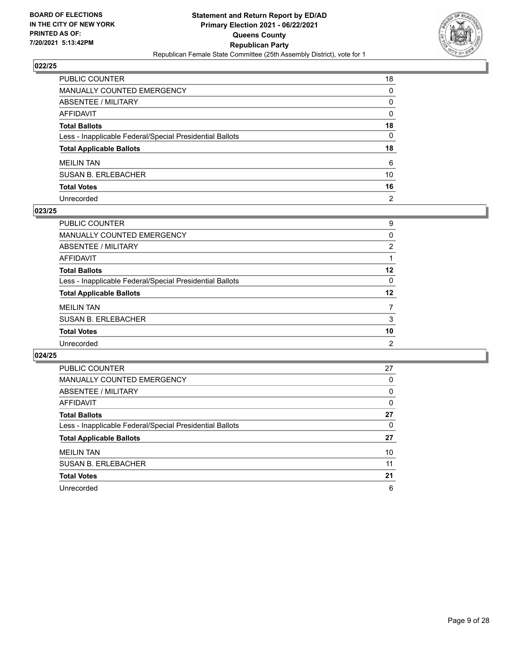

| PUBLIC COUNTER                                           | 18             |
|----------------------------------------------------------|----------------|
| MANUALLY COUNTED EMERGENCY                               | $\Omega$       |
| <b>ABSENTEE / MILITARY</b>                               | $\Omega$       |
| <b>AFFIDAVIT</b>                                         | $\Omega$       |
| <b>Total Ballots</b>                                     | 18             |
| Less - Inapplicable Federal/Special Presidential Ballots | 0              |
| <b>Total Applicable Ballots</b>                          | 18             |
| <b>MEILIN TAN</b>                                        | 6              |
| <b>SUSAN B. ERLEBACHER</b>                               | 10             |
| <b>Total Votes</b>                                       | 16             |
| Unrecorded                                               | $\overline{2}$ |

# **023/25**

| PUBLIC COUNTER                                           | 9  |
|----------------------------------------------------------|----|
| <b>MANUALLY COUNTED EMERGENCY</b>                        | 0  |
| ABSENTEE / MILITARY                                      | 2  |
| AFFIDAVIT                                                |    |
| <b>Total Ballots</b>                                     | 12 |
| Less - Inapplicable Federal/Special Presidential Ballots | 0  |
| <b>Total Applicable Ballots</b>                          | 12 |
| <b>MEILIN TAN</b>                                        |    |
| <b>SUSAN B. ERLEBACHER</b>                               | 3  |
| <b>Total Votes</b>                                       | 10 |
| Unrecorded                                               | 2  |

| <b>PUBLIC COUNTER</b>                                    | 27       |
|----------------------------------------------------------|----------|
| <b>MANUALLY COUNTED EMERGENCY</b>                        | 0        |
| ABSENTEE / MILITARY                                      | $\Omega$ |
| AFFIDAVIT                                                | 0        |
| <b>Total Ballots</b>                                     | 27       |
| Less - Inapplicable Federal/Special Presidential Ballots | $\Omega$ |
| <b>Total Applicable Ballots</b>                          | 27       |
| <b>MEILIN TAN</b>                                        | 10       |
| <b>SUSAN B. ERLEBACHER</b>                               | 11       |
| <b>Total Votes</b>                                       | 21       |
| Unrecorded                                               | 6        |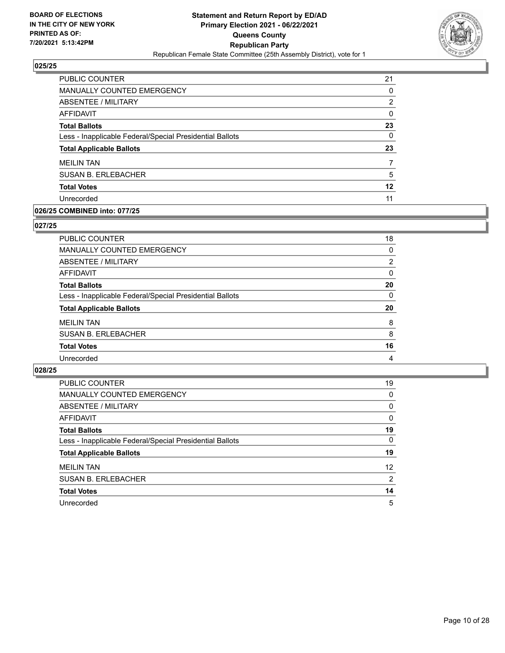

| <b>PUBLIC COUNTER</b>                                    | 21       |
|----------------------------------------------------------|----------|
| MANUALLY COUNTED EMERGENCY                               | 0        |
| ABSENTEE / MILITARY                                      | 2        |
| AFFIDAVIT                                                | $\Omega$ |
| <b>Total Ballots</b>                                     | 23       |
| Less - Inapplicable Federal/Special Presidential Ballots | 0        |
| <b>Total Applicable Ballots</b>                          | 23       |
| <b>MEILIN TAN</b>                                        | 7        |
| <b>SUSAN B. ERLEBACHER</b>                               | 5        |
| <b>Total Votes</b>                                       | 12       |
| Unrecorded                                               | 11       |
|                                                          |          |

# **026/25 COMBINED into: 077/25**

# **027/25**

| PUBLIC COUNTER                                           | 18             |
|----------------------------------------------------------|----------------|
| <b>MANUALLY COUNTED EMERGENCY</b>                        | 0              |
| <b>ABSENTEE / MILITARY</b>                               | $\overline{2}$ |
| <b>AFFIDAVIT</b>                                         | 0              |
| <b>Total Ballots</b>                                     | 20             |
| Less - Inapplicable Federal/Special Presidential Ballots | $\Omega$       |
| <b>Total Applicable Ballots</b>                          | 20             |
| <b>MEILIN TAN</b>                                        | 8              |
| <b>SUSAN B. ERLEBACHER</b>                               | 8              |
| <b>Total Votes</b>                                       | 16             |
| Unrecorded                                               | 4              |

| <b>PUBLIC COUNTER</b>                                    | 19       |
|----------------------------------------------------------|----------|
| <b>MANUALLY COUNTED EMERGENCY</b>                        | 0        |
| ABSENTEE / MILITARY                                      | 0        |
| AFFIDAVIT                                                | 0        |
| <b>Total Ballots</b>                                     | 19       |
| Less - Inapplicable Federal/Special Presidential Ballots | $\Omega$ |
| <b>Total Applicable Ballots</b>                          | 19       |
| <b>MEILIN TAN</b>                                        | 12       |
| <b>SUSAN B. ERLEBACHER</b>                               | 2        |
| <b>Total Votes</b>                                       | 14       |
| Unrecorded                                               | 5        |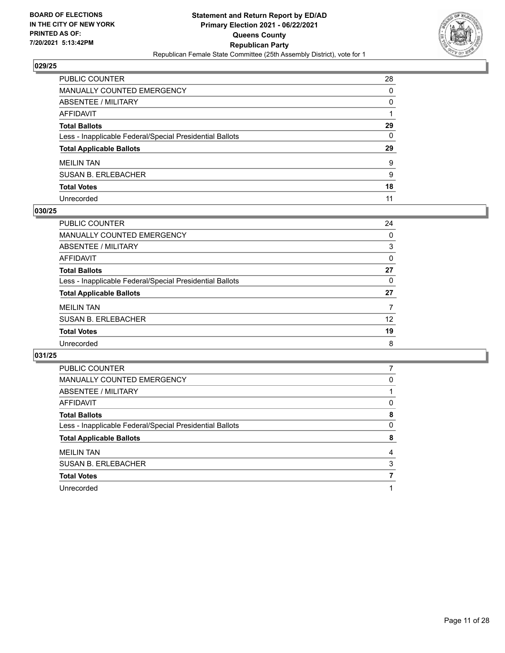

| PUBLIC COUNTER                                           | 28       |
|----------------------------------------------------------|----------|
| MANUALLY COUNTED EMERGENCY                               | $\Omega$ |
| <b>ABSENTEE / MILITARY</b>                               | $\Omega$ |
| <b>AFFIDAVIT</b>                                         |          |
| <b>Total Ballots</b>                                     | 29       |
| Less - Inapplicable Federal/Special Presidential Ballots | 0        |
| <b>Total Applicable Ballots</b>                          | 29       |
| <b>MEILIN TAN</b>                                        | 9        |
| <b>SUSAN B. ERLEBACHER</b>                               | 9        |
| <b>Total Votes</b>                                       | 18       |
| Unrecorded                                               | 11       |

# **030/25**

| PUBLIC COUNTER                                           | 24       |
|----------------------------------------------------------|----------|
| <b>MANUALLY COUNTED EMERGENCY</b>                        | 0        |
| ABSENTEE / MILITARY                                      | 3        |
| AFFIDAVIT                                                | $\Omega$ |
| <b>Total Ballots</b>                                     | 27       |
| Less - Inapplicable Federal/Special Presidential Ballots | 0        |
| <b>Total Applicable Ballots</b>                          | 27       |
| <b>MEILIN TAN</b>                                        | 7        |
| <b>SUSAN B. ERLEBACHER</b>                               | 12       |
| <b>Total Votes</b>                                       | 19       |
| Unrecorded                                               | 8        |

| <b>PUBLIC COUNTER</b>                                    |   |
|----------------------------------------------------------|---|
| <b>MANUALLY COUNTED EMERGENCY</b>                        | 0 |
| ABSENTEE / MILITARY                                      |   |
| AFFIDAVIT                                                | 0 |
| <b>Total Ballots</b>                                     | 8 |
| Less - Inapplicable Federal/Special Presidential Ballots | 0 |
| <b>Total Applicable Ballots</b>                          | 8 |
|                                                          |   |
| <b>MEILIN TAN</b>                                        | 4 |
| <b>SUSAN B. ERLEBACHER</b>                               | 3 |
| <b>Total Votes</b>                                       |   |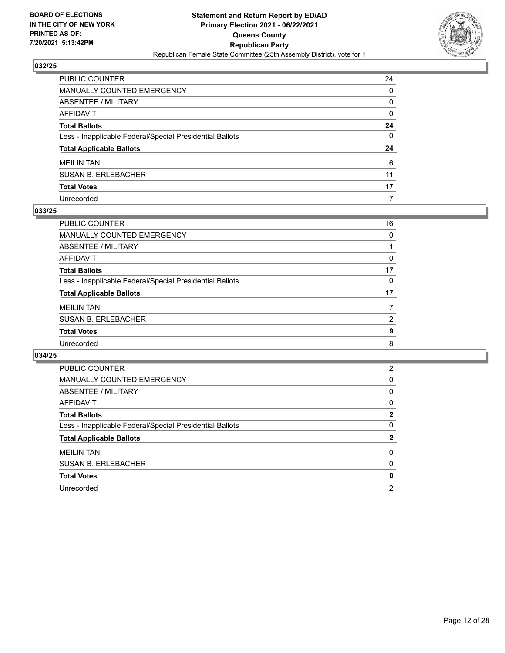

| PUBLIC COUNTER                                           | 24           |
|----------------------------------------------------------|--------------|
| MANUALLY COUNTED EMERGENCY                               | $\Omega$     |
| <b>ABSENTEE / MILITARY</b>                               | $\Omega$     |
| <b>AFFIDAVIT</b>                                         | $\mathbf{0}$ |
| <b>Total Ballots</b>                                     | 24           |
| Less - Inapplicable Federal/Special Presidential Ballots | 0            |
| <b>Total Applicable Ballots</b>                          | 24           |
| <b>MEILIN TAN</b>                                        | 6            |
| <b>SUSAN B. ERLEBACHER</b>                               | 11           |
| <b>Total Votes</b>                                       | 17           |
| Unrecorded                                               | 7            |

# **033/25**

| PUBLIC COUNTER                                           | 16 |
|----------------------------------------------------------|----|
| <b>MANUALLY COUNTED EMERGENCY</b>                        | 0  |
| ABSENTEE / MILITARY                                      |    |
| AFFIDAVIT                                                | 0  |
| <b>Total Ballots</b>                                     | 17 |
| Less - Inapplicable Federal/Special Presidential Ballots | 0  |
| <b>Total Applicable Ballots</b>                          | 17 |
| <b>MEILIN TAN</b>                                        |    |
| <b>SUSAN B. ERLEBACHER</b>                               | 2  |
| <b>Total Votes</b>                                       | 9  |
| Unrecorded                                               | 8  |
|                                                          |    |

| PUBLIC COUNTER                                           | 2 |
|----------------------------------------------------------|---|
| <b>MANUALLY COUNTED EMERGENCY</b>                        | 0 |
| ABSENTEE / MILITARY                                      | 0 |
| AFFIDAVIT                                                | 0 |
| <b>Total Ballots</b>                                     | 2 |
| Less - Inapplicable Federal/Special Presidential Ballots | 0 |
| <b>Total Applicable Ballots</b>                          | 2 |
| <b>MEILIN TAN</b>                                        | 0 |
| <b>SUSAN B. ERLEBACHER</b>                               | 0 |
|                                                          |   |
| <b>Total Votes</b>                                       | 0 |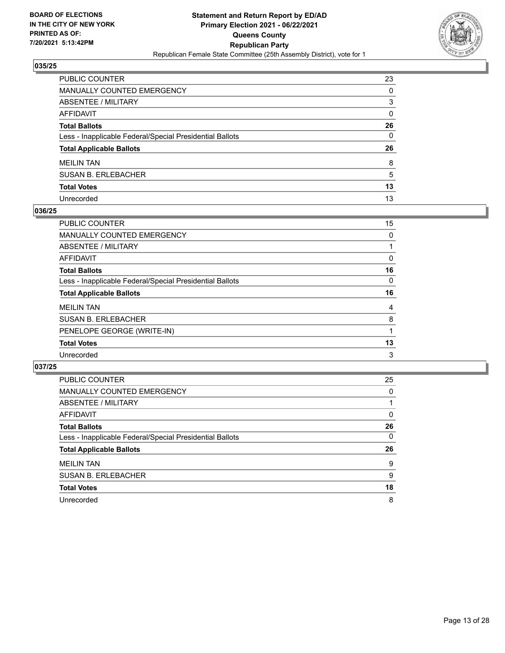

| PUBLIC COUNTER                                           | 23       |
|----------------------------------------------------------|----------|
| <b>MANUALLY COUNTED EMERGENCY</b>                        | $\Omega$ |
| <b>ABSENTEE / MILITARY</b>                               | 3        |
| <b>AFFIDAVIT</b>                                         | $\Omega$ |
| <b>Total Ballots</b>                                     | 26       |
| Less - Inapplicable Federal/Special Presidential Ballots | 0        |
| <b>Total Applicable Ballots</b>                          | 26       |
| <b>MEILIN TAN</b>                                        | 8        |
| <b>SUSAN B. ERLEBACHER</b>                               | 5        |
| <b>Total Votes</b>                                       | 13       |
| Unrecorded                                               | 13       |

# **036/25**

| <b>PUBLIC COUNTER</b>                                    | 15 |
|----------------------------------------------------------|----|
| <b>MANUALLY COUNTED EMERGENCY</b>                        | 0  |
| ABSENTEE / MILITARY                                      |    |
| AFFIDAVIT                                                | 0  |
| <b>Total Ballots</b>                                     | 16 |
| Less - Inapplicable Federal/Special Presidential Ballots | 0  |
| <b>Total Applicable Ballots</b>                          | 16 |
| <b>MEILIN TAN</b>                                        | 4  |
| <b>SUSAN B. ERLEBACHER</b>                               | 8  |
| PENELOPE GEORGE (WRITE-IN)                               |    |
| <b>Total Votes</b>                                       | 13 |
| Unrecorded                                               | 3  |
|                                                          |    |

| PUBLIC COUNTER                                           | 25       |
|----------------------------------------------------------|----------|
| <b>MANUALLY COUNTED EMERGENCY</b>                        | 0        |
| ABSENTEE / MILITARY                                      |          |
| AFFIDAVIT                                                | 0        |
| <b>Total Ballots</b>                                     | 26       |
| Less - Inapplicable Federal/Special Presidential Ballots | $\Omega$ |
| <b>Total Applicable Ballots</b>                          | 26       |
| <b>MEILIN TAN</b>                                        | 9        |
| <b>SUSAN B. ERLEBACHER</b>                               | 9        |
| <b>Total Votes</b>                                       | 18       |
| Unrecorded                                               | 8        |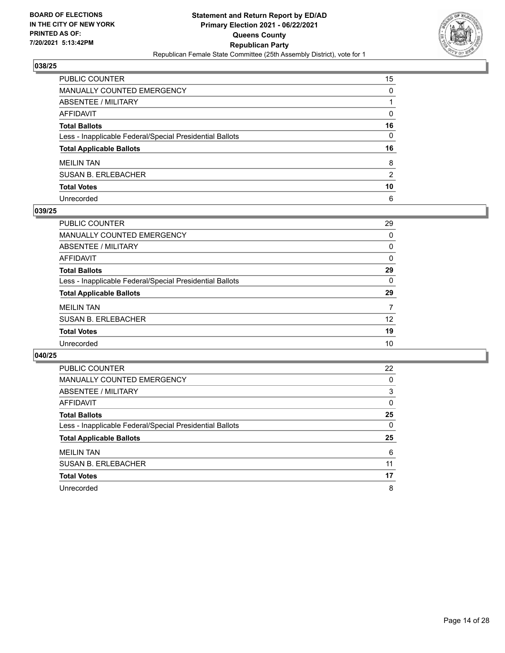

| PUBLIC COUNTER                                           | 15       |
|----------------------------------------------------------|----------|
| MANUALLY COUNTED EMERGENCY                               | $\Omega$ |
| <b>ABSENTEE / MILITARY</b>                               |          |
| <b>AFFIDAVIT</b>                                         | 0        |
| <b>Total Ballots</b>                                     | 16       |
| Less - Inapplicable Federal/Special Presidential Ballots | 0        |
| <b>Total Applicable Ballots</b>                          | 16       |
| <b>MEILIN TAN</b>                                        | 8        |
| <b>SUSAN B. ERLEBACHER</b>                               | 2        |
| <b>Total Votes</b>                                       | 10       |
| Unrecorded                                               | 6        |

# **039/25**

| <b>PUBLIC COUNTER</b>                                    | 29       |
|----------------------------------------------------------|----------|
| <b>MANUALLY COUNTED EMERGENCY</b>                        | 0        |
| ABSENTEE / MILITARY                                      | 0        |
| AFFIDAVIT                                                | 0        |
| <b>Total Ballots</b>                                     | 29       |
| Less - Inapplicable Federal/Special Presidential Ballots | $\Omega$ |
| <b>Total Applicable Ballots</b>                          | 29       |
| <b>MEILIN TAN</b>                                        | 7        |
| <b>SUSAN B. ERLEBACHER</b>                               | 12       |
| <b>Total Votes</b>                                       | 19       |
| Unrecorded                                               | 10       |

| <b>PUBLIC COUNTER</b>                                    | 22 |
|----------------------------------------------------------|----|
| <b>MANUALLY COUNTED EMERGENCY</b>                        | 0  |
| ABSENTEE / MILITARY                                      | 3  |
| <b>AFFIDAVIT</b>                                         | 0  |
| <b>Total Ballots</b>                                     | 25 |
| Less - Inapplicable Federal/Special Presidential Ballots | 0  |
| <b>Total Applicable Ballots</b>                          | 25 |
| <b>MEILIN TAN</b>                                        | 6  |
|                                                          | 11 |
| <b>SUSAN B. ERLEBACHER</b>                               |    |
| <b>Total Votes</b>                                       | 17 |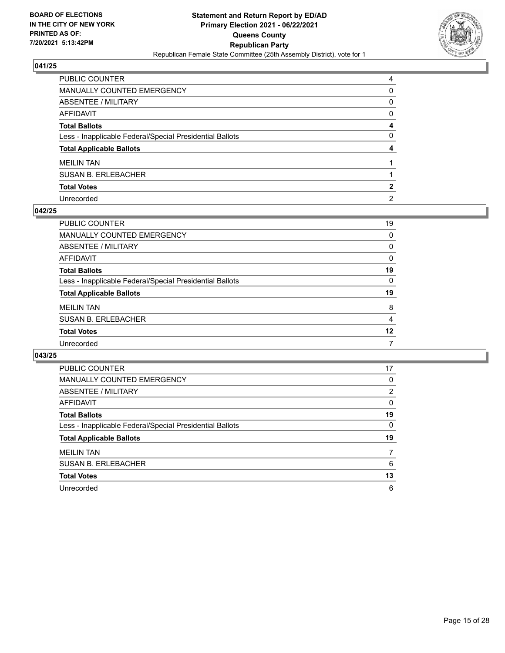

| PUBLIC COUNTER                                           | 4              |
|----------------------------------------------------------|----------------|
| MANUALLY COUNTED EMERGENCY                               | $\Omega$       |
| ABSENTEE / MILITARY                                      | $\Omega$       |
| AFFIDAVIT                                                | $\mathbf{0}$   |
| Total Ballots                                            | 4              |
| Less - Inapplicable Federal/Special Presidential Ballots | $\mathbf{0}$   |
| <b>Total Applicable Ballots</b>                          | 4              |
| <b>MEILIN TAN</b>                                        |                |
| SUSAN B. ERLEBACHER                                      |                |
| <b>Total Votes</b>                                       | 2              |
| Unrecorded                                               | $\overline{2}$ |

## **042/25**

| <b>PUBLIC COUNTER</b>                                    | 19       |
|----------------------------------------------------------|----------|
| MANUALLY COUNTED EMERGENCY                               | 0        |
| ABSENTEE / MILITARY                                      | 0        |
| AFFIDAVIT                                                | $\Omega$ |
| <b>Total Ballots</b>                                     | 19       |
| Less - Inapplicable Federal/Special Presidential Ballots | $\Omega$ |
| <b>Total Applicable Ballots</b>                          | 19       |
| <b>MEILIN TAN</b>                                        | 8        |
| <b>SUSAN B. ERLEBACHER</b>                               | 4        |
| <b>Total Votes</b>                                       | 12       |
| Unrecorded                                               | 7        |

| <b>PUBLIC COUNTER</b>                                    | 17             |
|----------------------------------------------------------|----------------|
| <b>MANUALLY COUNTED EMERGENCY</b>                        | $\Omega$       |
| ABSENTEE / MILITARY                                      | $\overline{2}$ |
| <b>AFFIDAVIT</b>                                         | $\Omega$       |
| <b>Total Ballots</b>                                     | 19             |
| Less - Inapplicable Federal/Special Presidential Ballots | 0              |
| <b>Total Applicable Ballots</b>                          | 19             |
| <b>MEILIN TAN</b>                                        |                |
| <b>SUSAN B. ERLEBACHER</b>                               | 6              |
| <b>Total Votes</b>                                       | 13             |
| Unrecorded                                               | 6              |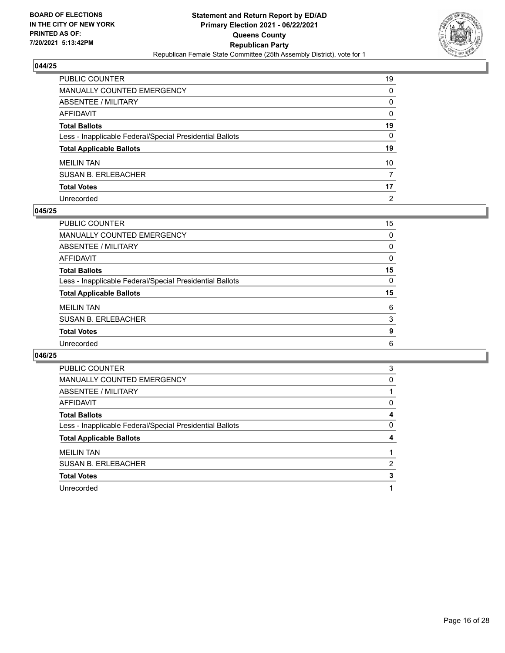

| PUBLIC COUNTER                                           | 19             |
|----------------------------------------------------------|----------------|
| MANUALLY COUNTED EMERGENCY                               | $\Omega$       |
| <b>ABSENTEE / MILITARY</b>                               | $\Omega$       |
| <b>AFFIDAVIT</b>                                         | $\Omega$       |
| <b>Total Ballots</b>                                     | 19             |
| Less - Inapplicable Federal/Special Presidential Ballots | 0              |
| <b>Total Applicable Ballots</b>                          | 19             |
| <b>MEILIN TAN</b>                                        | 10             |
| <b>SUSAN B. ERLEBACHER</b>                               | 7              |
| <b>Total Votes</b>                                       | 17             |
| Unrecorded                                               | $\overline{2}$ |

# **045/25**

| PUBLIC COUNTER                                           | 15       |
|----------------------------------------------------------|----------|
| <b>MANUALLY COUNTED EMERGENCY</b>                        | 0        |
| ABSENTEE / MILITARY                                      | 0        |
| AFFIDAVIT                                                | $\Omega$ |
| <b>Total Ballots</b>                                     | 15       |
| Less - Inapplicable Federal/Special Presidential Ballots | 0        |
| <b>Total Applicable Ballots</b>                          | 15       |
| <b>MEILIN TAN</b>                                        | 6        |
| <b>SUSAN B. ERLEBACHER</b>                               | 3        |
| <b>Total Votes</b>                                       | 9        |
| Unrecorded                                               | 6        |
|                                                          |          |

| <b>PUBLIC COUNTER</b>                                    | 3 |
|----------------------------------------------------------|---|
| <b>MANUALLY COUNTED EMERGENCY</b>                        | 0 |
| ABSENTEE / MILITARY                                      |   |
| AFFIDAVIT                                                | 0 |
| <b>Total Ballots</b>                                     | 4 |
|                                                          |   |
| Less - Inapplicable Federal/Special Presidential Ballots | 0 |
| <b>Total Applicable Ballots</b>                          |   |
| <b>MEILIN TAN</b>                                        |   |
| <b>SUSAN B. ERLEBACHER</b>                               | 2 |
| <b>Total Votes</b>                                       | 3 |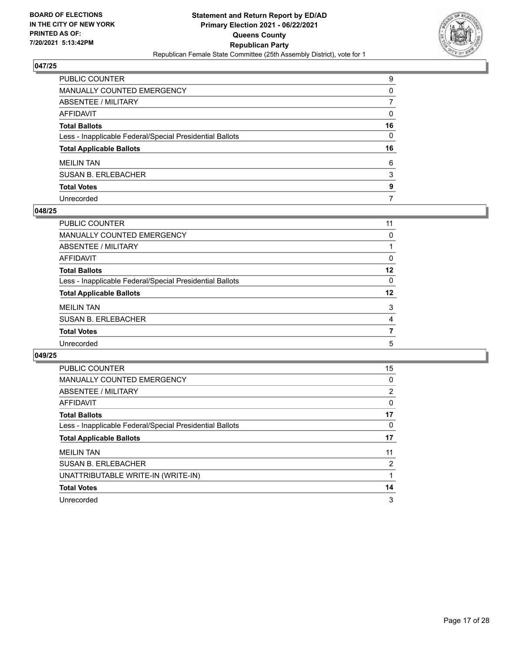

| PUBLIC COUNTER                                           | 9            |
|----------------------------------------------------------|--------------|
| MANUALLY COUNTED EMERGENCY                               | $\Omega$     |
| ABSENTEE / MILITARY                                      |              |
| <b>AFFIDAVIT</b>                                         | $\Omega$     |
| <b>Total Ballots</b>                                     | 16           |
| Less - Inapplicable Federal/Special Presidential Ballots | $\mathbf{0}$ |
| <b>Total Applicable Ballots</b>                          | 16           |
| <b>MEILIN TAN</b>                                        | 6            |
| <b>SUSAN B. ERLEBACHER</b>                               | 3            |
| <b>Total Votes</b>                                       | 9            |
| Unrecorded                                               | 7            |

## **048/25**

| PUBLIC COUNTER                                           | 11       |
|----------------------------------------------------------|----------|
| <b>MANUALLY COUNTED EMERGENCY</b>                        | $\Omega$ |
| ABSENTEE / MILITARY                                      |          |
| AFFIDAVIT                                                | 0        |
| <b>Total Ballots</b>                                     | 12       |
| Less - Inapplicable Federal/Special Presidential Ballots | $\Omega$ |
| <b>Total Applicable Ballots</b>                          | 12       |
| <b>MEILIN TAN</b>                                        | 3        |
| <b>SUSAN B. ERLEBACHER</b>                               | 4        |
| <b>Total Votes</b>                                       | 7        |
| Unrecorded                                               | 5        |
|                                                          |          |

| <b>PUBLIC COUNTER</b>                                    | 15             |
|----------------------------------------------------------|----------------|
| <b>MANUALLY COUNTED EMERGENCY</b>                        | 0              |
| ABSENTEE / MILITARY                                      | $\overline{2}$ |
| AFFIDAVIT                                                | 0              |
| <b>Total Ballots</b>                                     | 17             |
| Less - Inapplicable Federal/Special Presidential Ballots | 0              |
| <b>Total Applicable Ballots</b>                          | 17             |
| <b>MEILIN TAN</b>                                        | 11             |
| <b>SUSAN B. ERLEBACHER</b>                               | 2              |
| UNATTRIBUTABLE WRITE-IN (WRITE-IN)                       |                |
| <b>Total Votes</b>                                       | 14             |
| Unrecorded                                               | 3              |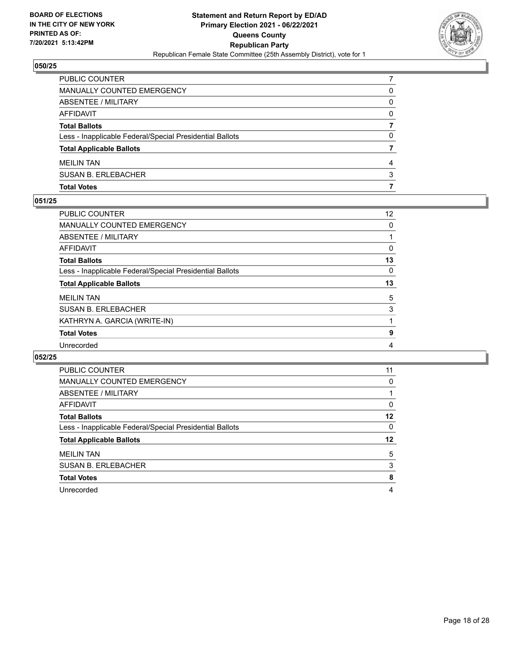

| <b>SUSAN B. ERLEBACHER</b>                               | 3 |
|----------------------------------------------------------|---|
| <b>MEILIN TAN</b>                                        | 4 |
| <b>Total Applicable Ballots</b>                          |   |
| Less - Inapplicable Federal/Special Presidential Ballots | 0 |
| <b>Total Ballots</b>                                     |   |
| AFFIDAVIT                                                | 0 |
| ABSENTEE / MILITARY                                      | 0 |
| MANUALLY COUNTED EMERGENCY                               | 0 |
| <b>PUBLIC COUNTER</b>                                    |   |

# **051/25**

| PUBLIC COUNTER                                           | $12 \overline{ }$ |
|----------------------------------------------------------|-------------------|
| <b>MANUALLY COUNTED EMERGENCY</b>                        | 0                 |
| ABSENTEE / MILITARY                                      |                   |
| AFFIDAVIT                                                | 0                 |
| <b>Total Ballots</b>                                     | 13                |
| Less - Inapplicable Federal/Special Presidential Ballots | 0                 |
| <b>Total Applicable Ballots</b>                          | 13                |
| <b>MEILIN TAN</b>                                        | 5                 |
|                                                          |                   |
| <b>SUSAN B. ERLEBACHER</b>                               | 3                 |
| KATHRYN A. GARCIA (WRITE-IN)                             |                   |
| <b>Total Votes</b>                                       | 9                 |

| <b>PUBLIC COUNTER</b>                                    | 11       |
|----------------------------------------------------------|----------|
| <b>MANUALLY COUNTED EMERGENCY</b>                        | 0        |
| ABSENTEE / MILITARY                                      |          |
| AFFIDAVIT                                                | 0        |
| <b>Total Ballots</b>                                     | 12       |
| Less - Inapplicable Federal/Special Presidential Ballots | $\Omega$ |
| <b>Total Applicable Ballots</b>                          | 12       |
| <b>MEILIN TAN</b>                                        | 5        |
| <b>SUSAN B. ERLEBACHER</b>                               | 3        |
| <b>Total Votes</b>                                       | 8        |
| Unrecorded                                               | 4        |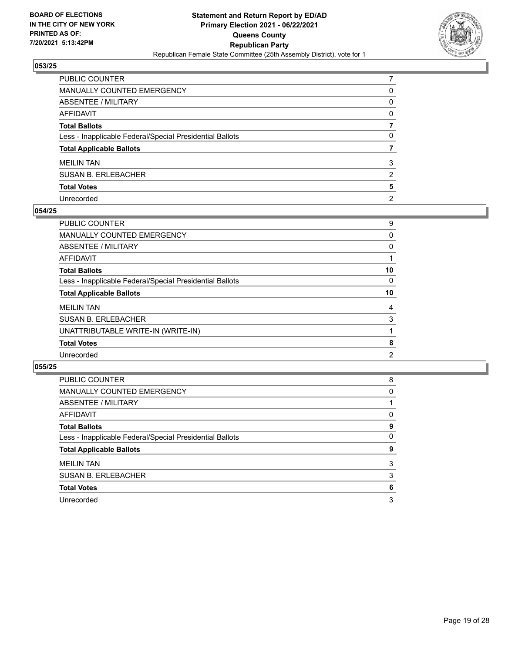

| PUBLIC COUNTER                                           |                |
|----------------------------------------------------------|----------------|
| MANUALLY COUNTED EMERGENCY                               | 0              |
| ABSENTEE / MILITARY                                      | 0              |
| AFFIDAVIT                                                | $\mathbf{0}$   |
| <b>Total Ballots</b>                                     |                |
| Less - Inapplicable Federal/Special Presidential Ballots | $\Omega$       |
| <b>Total Applicable Ballots</b>                          |                |
| <b>MEILIN TAN</b>                                        | 3              |
| SUSAN B. ERLEBACHER                                      | 2              |
| <b>Total Votes</b>                                       | 5              |
| Unrecorded                                               | $\overline{2}$ |

## **054/25**

| PUBLIC COUNTER                                           | 9  |
|----------------------------------------------------------|----|
| MANUALLY COUNTED EMERGENCY                               | 0  |
| ABSENTEE / MILITARY                                      | 0  |
| AFFIDAVIT                                                |    |
| <b>Total Ballots</b>                                     | 10 |
| Less - Inapplicable Federal/Special Presidential Ballots | 0  |
| <b>Total Applicable Ballots</b>                          | 10 |
| <b>MEILIN TAN</b>                                        | 4  |
| <b>SUSAN B. ERLEBACHER</b>                               | 3  |
| UNATTRIBUTABLE WRITE-IN (WRITE-IN)                       |    |
| <b>Total Votes</b>                                       | 8  |
| Unrecorded                                               | 2  |
|                                                          |    |

| PUBLIC COUNTER                                           | 8 |
|----------------------------------------------------------|---|
| <b>MANUALLY COUNTED EMERGENCY</b>                        | 0 |
| ABSENTEE / MILITARY                                      |   |
| AFFIDAVIT                                                | 0 |
| <b>Total Ballots</b>                                     | 9 |
| Less - Inapplicable Federal/Special Presidential Ballots | 0 |
| <b>Total Applicable Ballots</b>                          | 9 |
| <b>MEILIN TAN</b>                                        | 3 |
| <b>SUSAN B. ERLEBACHER</b>                               | 3 |
| <b>Total Votes</b>                                       | 6 |
| Unrecorded                                               | 3 |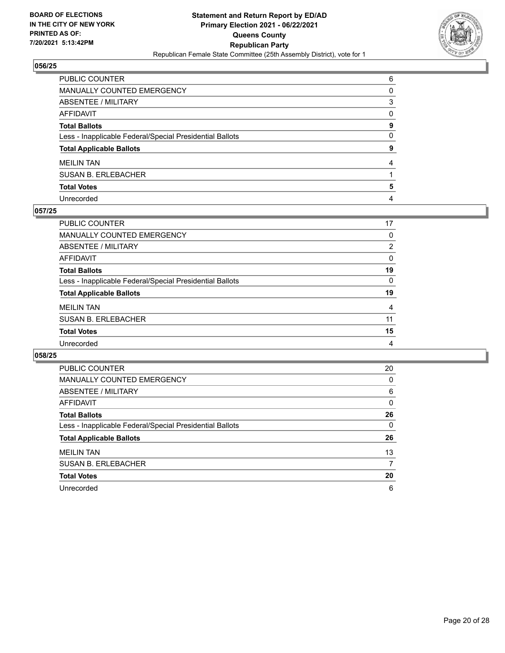

| PUBLIC COUNTER                                           | 6            |
|----------------------------------------------------------|--------------|
| MANUALLY COUNTED EMERGENCY                               | $\Omega$     |
| ABSENTEE / MILITARY                                      | 3            |
| AFFIDAVIT                                                | $\mathbf{0}$ |
| <b>Total Ballots</b>                                     | 9            |
| Less - Inapplicable Federal/Special Presidential Ballots | $\mathbf{0}$ |
| <b>Total Applicable Ballots</b>                          | 9            |
| <b>MEILIN TAN</b>                                        | 4            |
| SUSAN B. ERLEBACHER                                      |              |
| <b>Total Votes</b>                                       | 5            |
| Unrecorded                                               | 4            |

## **057/25**

| PUBLIC COUNTER                                           | 17       |
|----------------------------------------------------------|----------|
| <b>MANUALLY COUNTED EMERGENCY</b>                        | $\Omega$ |
| ABSENTEE / MILITARY                                      | 2        |
| AFFIDAVIT                                                | 0        |
| <b>Total Ballots</b>                                     | 19       |
| Less - Inapplicable Federal/Special Presidential Ballots | $\Omega$ |
| <b>Total Applicable Ballots</b>                          | 19       |
| <b>MEILIN TAN</b>                                        | 4        |
| <b>SUSAN B. ERLEBACHER</b>                               | 11       |
| <b>Total Votes</b>                                       | 15       |
| Unrecorded                                               | 4        |

| <b>PUBLIC COUNTER</b>                                    | 20       |
|----------------------------------------------------------|----------|
| <b>MANUALLY COUNTED EMERGENCY</b>                        | 0        |
| ABSENTEE / MILITARY                                      | 6        |
| <b>AFFIDAVIT</b>                                         | $\Omega$ |
| <b>Total Ballots</b>                                     | 26       |
| Less - Inapplicable Federal/Special Presidential Ballots | $\Omega$ |
| <b>Total Applicable Ballots</b>                          | 26       |
| <b>MEILIN TAN</b>                                        | 13       |
| <b>SUSAN B. ERLEBACHER</b>                               | 7        |
|                                                          |          |
| <b>Total Votes</b>                                       | 20       |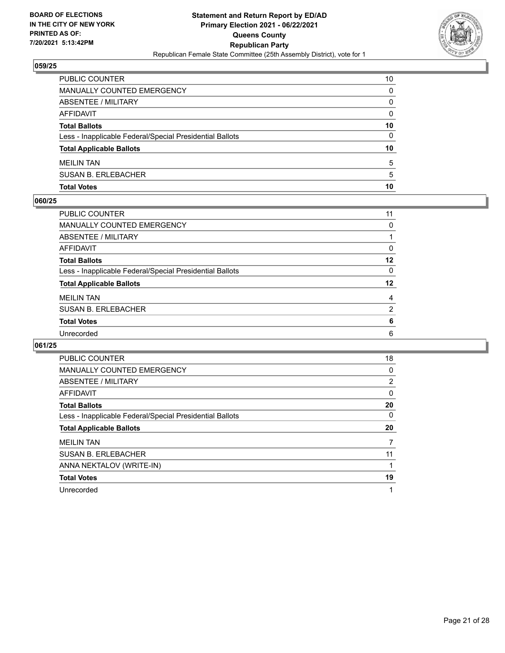

| <b>PUBLIC COUNTER</b>                                    | 10 |
|----------------------------------------------------------|----|
| MANUALLY COUNTED EMERGENCY                               | 0  |
| ABSENTEE / MILITARY                                      | 0  |
| AFFIDAVIT                                                | 0  |
| <b>Total Ballots</b>                                     | 10 |
| Less - Inapplicable Federal/Special Presidential Ballots | 0  |
| <b>Total Applicable Ballots</b>                          | 10 |
| <b>MEILIN TAN</b>                                        | 5  |
| <b>SUSAN B. ERLEBACHER</b>                               | 5  |
| <b>Total Votes</b>                                       | 10 |

# **060/25**

| PUBLIC COUNTER                                           | 11       |
|----------------------------------------------------------|----------|
| <b>MANUALLY COUNTED EMERGENCY</b>                        | $\Omega$ |
| ABSENTEE / MILITARY                                      |          |
| <b>AFFIDAVIT</b>                                         | 0        |
| <b>Total Ballots</b>                                     | 12       |
| Less - Inapplicable Federal/Special Presidential Ballots | 0        |
| <b>Total Applicable Ballots</b>                          | 12       |
| <b>MEILIN TAN</b>                                        | 4        |
| <b>SUSAN B. ERLEBACHER</b>                               | 2        |
| <b>Total Votes</b>                                       | 6        |
| Unrecorded                                               | 6        |
|                                                          |          |

| <b>PUBLIC COUNTER</b>                                    | 18       |
|----------------------------------------------------------|----------|
| <b>MANUALLY COUNTED EMERGENCY</b>                        | 0        |
| ABSENTEE / MILITARY                                      | 2        |
| <b>AFFIDAVIT</b>                                         | 0        |
| <b>Total Ballots</b>                                     | 20       |
| Less - Inapplicable Federal/Special Presidential Ballots | $\Omega$ |
| <b>Total Applicable Ballots</b>                          | 20       |
| <b>MEILIN TAN</b>                                        | 7        |
| <b>SUSAN B. ERLEBACHER</b>                               | 11       |
| ANNA NEKTALOV (WRITE-IN)                                 |          |
| <b>Total Votes</b>                                       | 19       |
| Unrecorded                                               | 1        |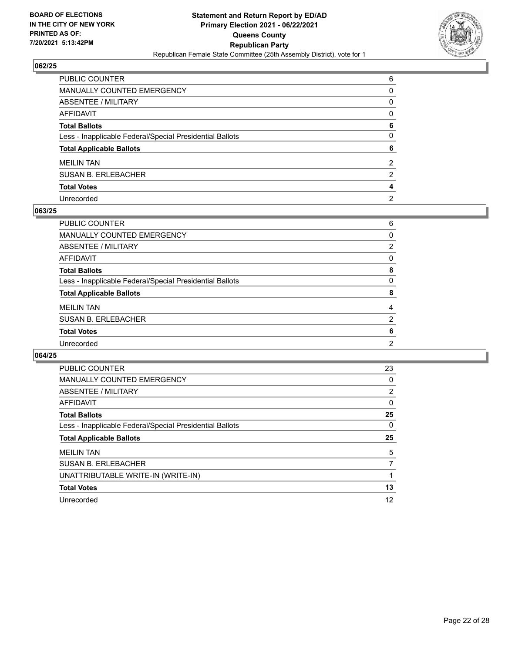

| PUBLIC COUNTER                                           | 6              |
|----------------------------------------------------------|----------------|
| <b>MANUALLY COUNTED EMERGENCY</b>                        | $\Omega$       |
| ABSENTEE / MILITARY                                      | $\Omega$       |
| <b>AFFIDAVIT</b>                                         | $\Omega$       |
| <b>Total Ballots</b>                                     | 6              |
| Less - Inapplicable Federal/Special Presidential Ballots | $\Omega$       |
| <b>Total Applicable Ballots</b>                          | 6              |
| <b>MEILIN TAN</b>                                        | 2              |
| <b>SUSAN B. ERLEBACHER</b>                               | 2              |
| <b>Total Votes</b>                                       | 4              |
| Unrecorded                                               | $\overline{2}$ |

## **063/25**

| PUBLIC COUNTER                                           | 6              |
|----------------------------------------------------------|----------------|
| <b>MANUALLY COUNTED EMERGENCY</b>                        | $\Omega$       |
| ABSENTEE / MILITARY                                      | 2              |
| AFFIDAVIT                                                | 0              |
| <b>Total Ballots</b>                                     | 8              |
| Less - Inapplicable Federal/Special Presidential Ballots | 0              |
| <b>Total Applicable Ballots</b>                          | 8              |
| <b>MEILIN TAN</b>                                        | 4              |
| <b>SUSAN B. ERLEBACHER</b>                               | $\overline{2}$ |
| <b>Total Votes</b>                                       | 6              |
| Unrecorded                                               | $\overline{2}$ |
|                                                          |                |

| <b>PUBLIC COUNTER</b>                                    | 23       |
|----------------------------------------------------------|----------|
| <b>MANUALLY COUNTED EMERGENCY</b>                        | 0        |
| ABSENTEE / MILITARY                                      | 2        |
| AFFIDAVIT                                                | 0        |
| <b>Total Ballots</b>                                     | 25       |
| Less - Inapplicable Federal/Special Presidential Ballots | $\Omega$ |
| <b>Total Applicable Ballots</b>                          | 25       |
|                                                          |          |
| <b>MEILIN TAN</b>                                        | 5        |
| <b>SUSAN B. ERLEBACHER</b>                               | 7        |
| UNATTRIBUTABLE WRITE-IN (WRITE-IN)                       |          |
| <b>Total Votes</b>                                       | 13       |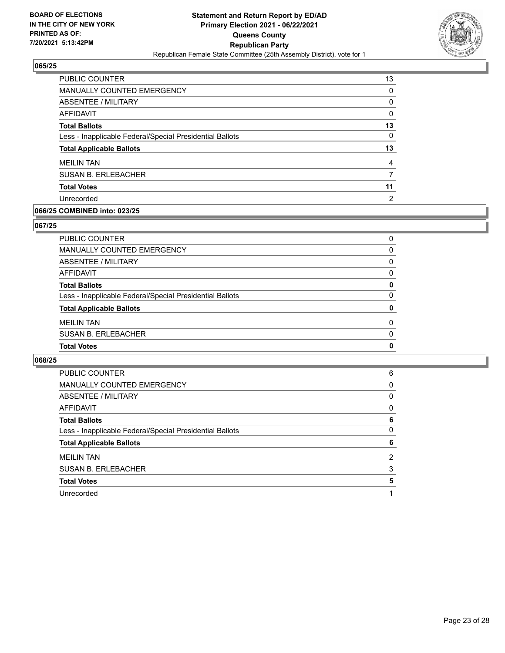

| <b>PUBLIC COUNTER</b>                                    | 13       |
|----------------------------------------------------------|----------|
| <b>MANUALLY COUNTED EMERGENCY</b>                        | $\Omega$ |
| ABSENTEE / MILITARY                                      | 0        |
| AFFIDAVIT                                                | 0        |
| <b>Total Ballots</b>                                     | 13       |
| Less - Inapplicable Federal/Special Presidential Ballots | $\Omega$ |
| <b>Total Applicable Ballots</b>                          | 13       |
| <b>MEILIN TAN</b>                                        | 4        |
| <b>SUSAN B. ERLEBACHER</b>                               |          |
| <b>Total Votes</b>                                       | 11       |
| Unrecorded                                               | 2        |
|                                                          |          |

# **066/25 COMBINED into: 023/25**

# **067/25**

| <b>Total Votes</b>                                       | $\mathbf{0}$ |
|----------------------------------------------------------|--------------|
| <b>SUSAN B. ERLEBACHER</b>                               | $\Omega$     |
| <b>MEILIN TAN</b>                                        | $\Omega$     |
| <b>Total Applicable Ballots</b>                          | 0            |
| Less - Inapplicable Federal/Special Presidential Ballots | $\Omega$     |
| <b>Total Ballots</b>                                     | 0            |
| <b>AFFIDAVIT</b>                                         | $\Omega$     |
| <b>ABSENTEE / MILITARY</b>                               | $\Omega$     |
| <b>MANUALLY COUNTED EMERGENCY</b>                        | 0            |
| PUBLIC COUNTER                                           | 0            |

| PUBLIC COUNTER                                           | 6 |
|----------------------------------------------------------|---|
| <b>MANUALLY COUNTED EMERGENCY</b>                        | 0 |
| ABSENTEE / MILITARY                                      | 0 |
| <b>AFFIDAVIT</b>                                         | 0 |
| <b>Total Ballots</b>                                     | 6 |
| Less - Inapplicable Federal/Special Presidential Ballots | 0 |
| <b>Total Applicable Ballots</b>                          | 6 |
| <b>MEILIN TAN</b>                                        | 2 |
| <b>SUSAN B. ERLEBACHER</b>                               | 3 |
| <b>Total Votes</b>                                       | 5 |
|                                                          |   |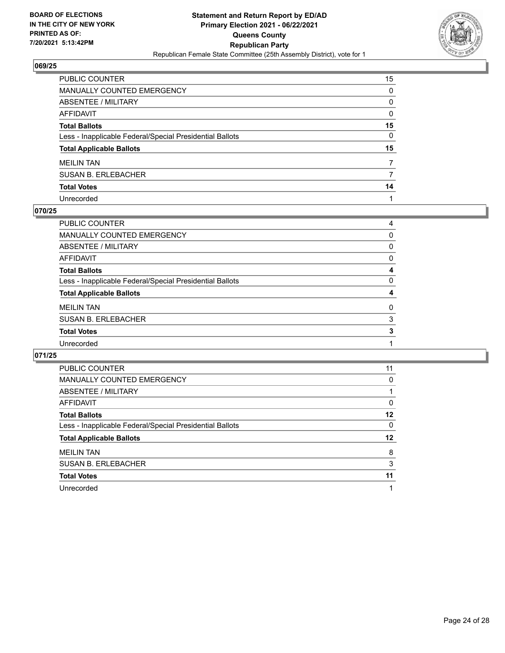

| PUBLIC COUNTER                                           | 15           |
|----------------------------------------------------------|--------------|
| MANUALLY COUNTED EMERGENCY                               | $\Omega$     |
| <b>ABSENTEE / MILITARY</b>                               | $\Omega$     |
| <b>AFFIDAVIT</b>                                         | $\mathbf{0}$ |
| <b>Total Ballots</b>                                     | 15           |
| Less - Inapplicable Federal/Special Presidential Ballots | 0            |
| <b>Total Applicable Ballots</b>                          | 15           |
| <b>MEILIN TAN</b>                                        | 7            |
| <b>SUSAN B. ERLEBACHER</b>                               | 7            |
| <b>Total Votes</b>                                       | 14           |
| Unrecorded                                               |              |

# **070/25**

| PUBLIC COUNTER                                           | 4        |
|----------------------------------------------------------|----------|
| MANUALLY COUNTED EMERGENCY                               | 0        |
| ABSENTEE / MILITARY                                      | 0        |
| AFFIDAVIT                                                | 0        |
| <b>Total Ballots</b>                                     | 4        |
| Less - Inapplicable Federal/Special Presidential Ballots | 0        |
| <b>Total Applicable Ballots</b>                          | 4        |
| <b>MEILIN TAN</b>                                        | $\Omega$ |
| <b>SUSAN B. ERLEBACHER</b>                               | 3        |
| <b>Total Votes</b>                                       | 3        |
| Unrecorded                                               |          |
|                                                          |          |

| PUBLIC COUNTER                                           | 11       |
|----------------------------------------------------------|----------|
| <b>MANUALLY COUNTED EMERGENCY</b>                        | 0        |
| ABSENTEE / MILITARY                                      |          |
| <b>AFFIDAVIT</b>                                         | $\Omega$ |
| <b>Total Ballots</b>                                     | 12       |
| Less - Inapplicable Federal/Special Presidential Ballots | 0        |
| <b>Total Applicable Ballots</b>                          | 12       |
| <b>MEILIN TAN</b>                                        | 8        |
| <b>SUSAN B. ERLEBACHER</b>                               | 3        |
| <b>Total Votes</b>                                       | 11       |
| Unrecorded                                               |          |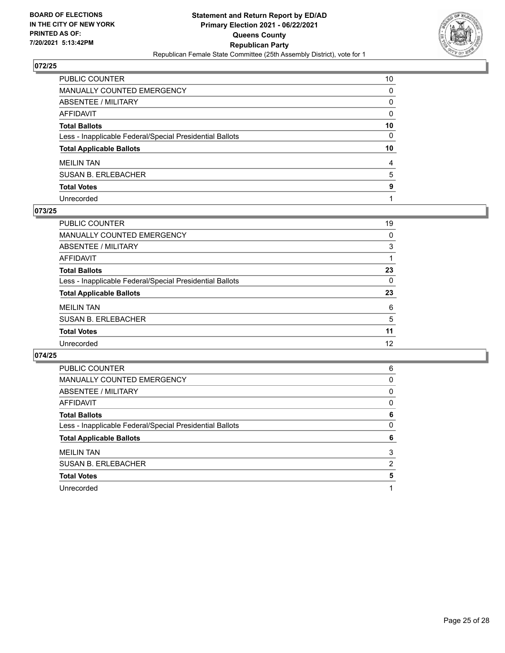

| PUBLIC COUNTER                                           | 10           |
|----------------------------------------------------------|--------------|
| MANUALLY COUNTED EMERGENCY                               | $\Omega$     |
| ABSENTEE / MILITARY                                      | $\Omega$     |
| <b>AFFIDAVIT</b>                                         | $\mathbf{0}$ |
| <b>Total Ballots</b>                                     | 10           |
| Less - Inapplicable Federal/Special Presidential Ballots | 0            |
| <b>Total Applicable Ballots</b>                          | 10           |
| <b>MEILIN TAN</b>                                        | 4            |
| <b>SUSAN B. ERLEBACHER</b>                               | 5            |
| <b>Total Votes</b>                                       | 9            |
| Unrecorded                                               |              |

# **073/25**

| PUBLIC COUNTER                                           | 19       |
|----------------------------------------------------------|----------|
| <b>MANUALLY COUNTED EMERGENCY</b>                        | 0        |
| ABSENTEE / MILITARY                                      | 3        |
| AFFIDAVIT                                                |          |
| <b>Total Ballots</b>                                     | 23       |
| Less - Inapplicable Federal/Special Presidential Ballots | $\Omega$ |
| <b>Total Applicable Ballots</b>                          | 23       |
| <b>MEILIN TAN</b>                                        | 6        |
| <b>SUSAN B. ERLEBACHER</b>                               | 5        |
| <b>Total Votes</b>                                       | 11       |
| Unrecorded                                               | 12       |
|                                                          |          |

| 6 |
|---|
|   |
| 0 |
| 0 |
| 0 |
| 6 |
|   |
| 0 |
| 6 |
| 3 |
| 2 |
| 5 |
|   |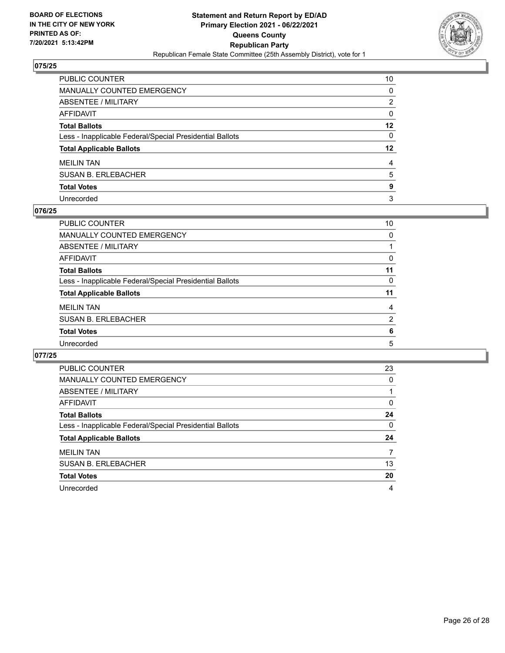

| PUBLIC COUNTER                                           | 10           |
|----------------------------------------------------------|--------------|
| MANUALLY COUNTED EMERGENCY                               | $\Omega$     |
| ABSENTEE / MILITARY                                      | 2            |
| <b>AFFIDAVIT</b>                                         | $\mathbf{0}$ |
| <b>Total Ballots</b>                                     | $12 \,$      |
| Less - Inapplicable Federal/Special Presidential Ballots | 0            |
| <b>Total Applicable Ballots</b>                          | 12           |
| <b>MEILIN TAN</b>                                        | 4            |
| <b>SUSAN B. ERLEBACHER</b>                               | 5            |
| <b>Total Votes</b>                                       | 9            |
| Unrecorded                                               | 3            |

## **076/25**

| PUBLIC COUNTER                                           | 10             |
|----------------------------------------------------------|----------------|
| <b>MANUALLY COUNTED EMERGENCY</b>                        | 0              |
| ABSENTEE / MILITARY                                      |                |
| AFFIDAVIT                                                | 0              |
| <b>Total Ballots</b>                                     | 11             |
| Less - Inapplicable Federal/Special Presidential Ballots | 0              |
| <b>Total Applicable Ballots</b>                          | 11             |
| <b>MEILIN TAN</b>                                        | 4              |
| <b>SUSAN B. ERLEBACHER</b>                               | $\overline{2}$ |
| <b>Total Votes</b>                                       | 6              |
| Unrecorded                                               | 5              |
|                                                          |                |

| <b>PUBLIC COUNTER</b>                                    | 23       |
|----------------------------------------------------------|----------|
| <b>MANUALLY COUNTED EMERGENCY</b>                        | $\Omega$ |
| ABSENTEE / MILITARY                                      |          |
| <b>AFFIDAVIT</b>                                         | $\Omega$ |
| <b>Total Ballots</b>                                     | 24       |
| Less - Inapplicable Federal/Special Presidential Ballots | $\Omega$ |
| <b>Total Applicable Ballots</b>                          | 24       |
| <b>MEILIN TAN</b>                                        |          |
| <b>SUSAN B. ERLEBACHER</b>                               | 13       |
| <b>Total Votes</b>                                       | 20       |
| Unrecorded                                               | 4        |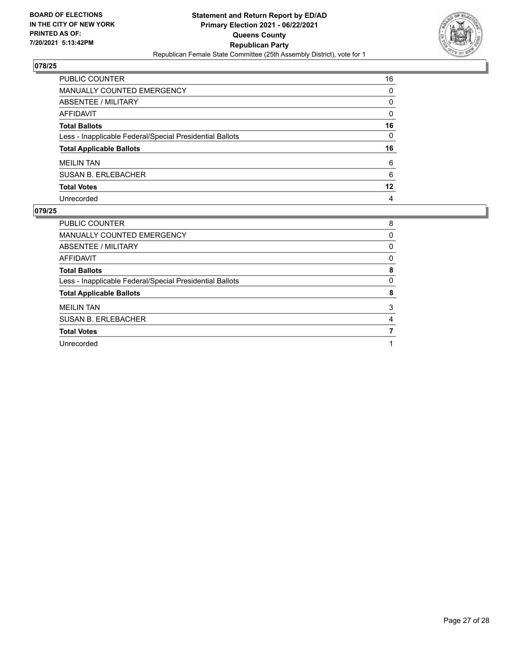

| PUBLIC COUNTER                                           | 16           |
|----------------------------------------------------------|--------------|
| <b>MANUALLY COUNTED EMERGENCY</b>                        | $\mathbf{0}$ |
| <b>ABSENTEE / MILITARY</b>                               | $\mathbf{0}$ |
| <b>AFFIDAVIT</b>                                         | $\Omega$     |
| <b>Total Ballots</b>                                     | 16           |
| Less - Inapplicable Federal/Special Presidential Ballots | $\mathbf{0}$ |
| <b>Total Applicable Ballots</b>                          | 16           |
| <b>MEILIN TAN</b>                                        | 6            |
| <b>SUSAN B. ERLEBACHER</b>                               | 6            |
| <b>Total Votes</b>                                       | $12 \,$      |
| Unrecorded                                               | 4            |

| <b>PUBLIC COUNTER</b>                                    | 8 |
|----------------------------------------------------------|---|
| <b>MANUALLY COUNTED EMERGENCY</b>                        | 0 |
| ABSENTEE / MILITARY                                      | 0 |
| AFFIDAVIT                                                | 0 |
| <b>Total Ballots</b>                                     | 8 |
| Less - Inapplicable Federal/Special Presidential Ballots | 0 |
| <b>Total Applicable Ballots</b>                          | 8 |
| <b>MEILIN TAN</b>                                        | 3 |
| <b>SUSAN B. ERLEBACHER</b>                               | 4 |
| <b>Total Votes</b>                                       |   |
| Unrecorded                                               |   |